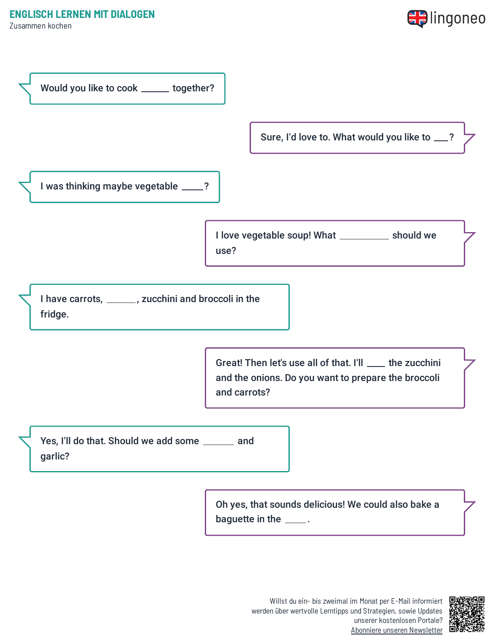Zusammen kochen





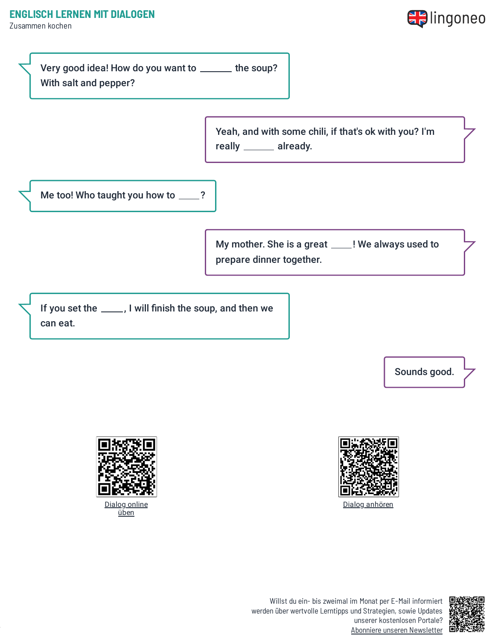Zusammen kochen





Yeah, and with some chili, if that's ok with you? I'm really \_\_\_\_\_\_ already.

Me too! Who taught you how to \_\_\_\_?

My mother. She is a great \_\_\_\_! We always used to prepare dinner together.

If you set the \_\_\_\_, I will finish the soup, and then we can eat.

Sounds good.



Dialog [anhören](https://www.lingoneo.org/wp-content/uploads/media/audio/audio-dialogue/en-de/Zusammen%20kochen%20-%20Dialog%20(%20lingoneo.org%20).mp3)